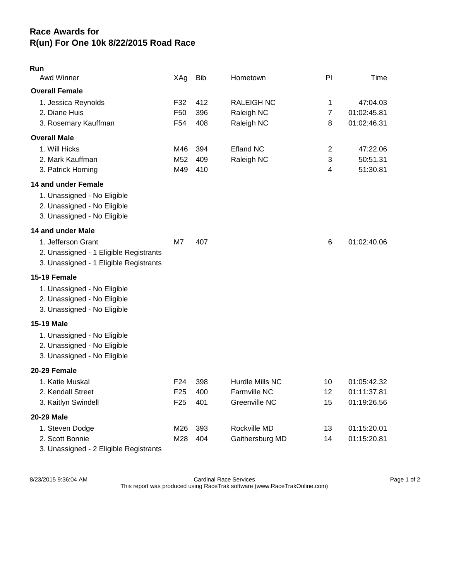## **Race Awards for R(un) For One 10k 8/22/2015 Road Race**

| Run<br>Awd Winner                                                                                                | XAg                                                   | <b>Bib</b>        | Hometown                                         | PI                       | Time                                      |
|------------------------------------------------------------------------------------------------------------------|-------------------------------------------------------|-------------------|--------------------------------------------------|--------------------------|-------------------------------------------|
|                                                                                                                  |                                                       |                   |                                                  |                          |                                           |
| <b>Overall Female</b><br>1. Jessica Reynolds<br>2. Diane Huis<br>3. Rosemary Kauffman                            | F32<br>F <sub>50</sub><br>F <sub>54</sub>             | 412<br>396<br>408 | <b>RALEIGH NC</b><br>Raleigh NC<br>Raleigh NC    | 1<br>$\overline{7}$<br>8 | 47:04.03<br>01:02:45.81<br>01:02:46.31    |
| <b>Overall Male</b>                                                                                              |                                                       |                   |                                                  |                          |                                           |
| 1. Will Hicks<br>2. Mark Kauffman<br>3. Patrick Horning                                                          | M46<br>M <sub>52</sub><br>M49                         | 394<br>409<br>410 | <b>Efland NC</b><br>Raleigh NC                   | $\overline{2}$<br>3<br>4 | 47:22.06<br>50:51.31<br>51:30.81          |
| 14 and under Female<br>1. Unassigned - No Eligible<br>2. Unassigned - No Eligible<br>3. Unassigned - No Eligible |                                                       |                   |                                                  |                          |                                           |
| 14 and under Male                                                                                                |                                                       |                   |                                                  |                          |                                           |
| 1. Jefferson Grant<br>2. Unassigned - 1 Eligible Registrants<br>3. Unassigned - 1 Eligible Registrants           | M7                                                    | 407               |                                                  | 6                        | 01:02:40.06                               |
| 15-19 Female                                                                                                     |                                                       |                   |                                                  |                          |                                           |
| 1. Unassigned - No Eligible<br>2. Unassigned - No Eligible<br>3. Unassigned - No Eligible                        |                                                       |                   |                                                  |                          |                                           |
| <b>15-19 Male</b>                                                                                                |                                                       |                   |                                                  |                          |                                           |
| 1. Unassigned - No Eligible<br>2. Unassigned - No Eligible<br>3. Unassigned - No Eligible                        |                                                       |                   |                                                  |                          |                                           |
| 20-29 Female                                                                                                     |                                                       |                   |                                                  |                          |                                           |
| 1. Katie Muskal<br>2. Kendall Street<br>3. Kaitlyn Swindell                                                      | F <sub>24</sub><br>F <sub>25</sub><br>F <sub>25</sub> | 398<br>400<br>401 | Hurdle Mills NC<br>Farmville NC<br>Greenville NC | 10<br>12<br>15           | 01:05:42.32<br>01:11:37.81<br>01:19:26.56 |
| 20-29 Male                                                                                                       |                                                       |                   |                                                  |                          |                                           |
| 1. Steven Dodge<br>2. Scott Bonnie<br>3. Unassigned - 2 Eligible Registrants                                     | M26<br>M28                                            | 393<br>404        | Rockville MD<br>Gaithersburg MD                  | 13<br>14                 | 01:15:20.01<br>01:15:20.81                |

8/23/2015 9:36:04 AM Cardinal Race Services Page 1 of 2 This report was produced using RaceTrak software (www.RaceTrakOnline.com)